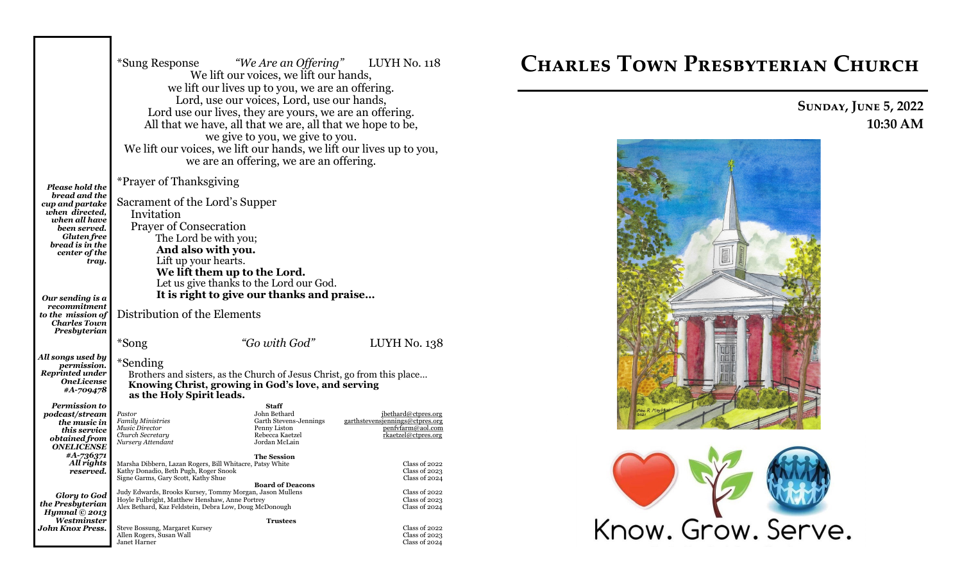|                                                                                                                                                                                                                                                                           | *Sung Response<br>Lord use our lives, they are yours, we are an offering.<br>All that we have, all that we are, all that we hope to be,<br>We lift our voices, we lift our hands, we lift our lives up to you,                                                                                                                          | We lift our voices, we lift our hands,<br>we lift our lives up to you, we are an offering.<br>Lord, use our voices, Lord, use our hands,<br>we give to you, we give to you.<br>we are an offering, we are an offering. | <i>"We Are an Offering"</i> LUYH No. 118                                                           |
|---------------------------------------------------------------------------------------------------------------------------------------------------------------------------------------------------------------------------------------------------------------------------|-----------------------------------------------------------------------------------------------------------------------------------------------------------------------------------------------------------------------------------------------------------------------------------------------------------------------------------------|------------------------------------------------------------------------------------------------------------------------------------------------------------------------------------------------------------------------|----------------------------------------------------------------------------------------------------|
| <b>Please hold the</b><br>bread and the<br>cup and partake<br>when directed,<br>when all have<br>been served.<br>Gluten free<br>bread is in the<br>center of the<br>tray.<br>Our sending is a<br>recommitment<br>to the mission of<br><b>Charles Town</b><br>Presbyterian | *Prayer of Thanksgiving<br>Sacrament of the Lord's Supper<br>Invitation<br><b>Prayer of Consecration</b><br>The Lord be with you;<br>And also with you.<br>Lift up your hearts.<br>We lift them up to the Lord.<br>Let us give thanks to the Lord our God.<br>It is right to give our thanks and praise<br>Distribution of the Elements |                                                                                                                                                                                                                        |                                                                                                    |
|                                                                                                                                                                                                                                                                           | *Song                                                                                                                                                                                                                                                                                                                                   | "Go with God"                                                                                                                                                                                                          | <b>LUYH</b> No. 138                                                                                |
| All songs used by<br>permission.<br><b>Reprinted under</b><br><i><b>OneLicense</b></i><br>#A-709478                                                                                                                                                                       | *Sending<br>Brothers and sisters, as the Church of Jesus Christ, go from this place<br>Knowing Christ, growing in God's love, and serving<br>as the Holy Spirit leads.                                                                                                                                                                  |                                                                                                                                                                                                                        |                                                                                                    |
| <b>Permission to</b><br><i>podcast/stream</i><br>the music in<br>this service<br>obtained from<br><b>ONELICENSE</b>                                                                                                                                                       | Pastor<br><b>Family Ministries</b><br><b>Music Director</b><br>Church Secretary<br>Nursery Attendant                                                                                                                                                                                                                                    | Staff<br>John Bethard<br>Garth Stevens-Jennings<br>Penny Liston<br>Rebecca Kaetzel<br>Jordan McLain                                                                                                                    | jbethard@ctpres.org<br>garthstevensjennings@ctpres.org<br>penfyfarm@aol.com<br>rkaetzel@ctpres.org |
| #A-736371<br><b>All rights</b><br>reserved.                                                                                                                                                                                                                               | Marsha Dibbern, Lazan Rogers, Bill Whitacre, Patsy White<br>Kathy Donadio, Beth Pugh, Roger Snook<br>Signe Garms, Gary Scott, Kathy Shue                                                                                                                                                                                                | <b>The Session</b>                                                                                                                                                                                                     | Class of 2022<br>Class of 2023<br>Class of 2024                                                    |
| <b>Glory to God</b><br>the Presbyterian<br>Hymnal $\odot$ 2013                                                                                                                                                                                                            | Judy Edwards, Brooks Kursey, Tommy Morgan, Jason Mullens<br>Hoyle Fulbright, Matthew Henshaw, Anne Portrey<br>Alex Bethard, Kaz Feldstein, Debra Low, Doug McDonough                                                                                                                                                                    | <b>Board of Deacons</b>                                                                                                                                                                                                | Class of 2022<br>Class of 2023<br>Class of 2024                                                    |
| Westminster<br><b>John Knox Press.</b>                                                                                                                                                                                                                                    | Steve Bossung, Margaret Kursey<br>Allen Rogers, Susan Wall<br>Janet Harner                                                                                                                                                                                                                                                              | <b>Trustees</b>                                                                                                                                                                                                        | Class of 2022<br>Class of $2023$<br>Class of 2024                                                  |

# **Charles Town Presbyterian Church**

## **Sunday, June 5, 2022 10:30 AM**



Know. Grow. Serve.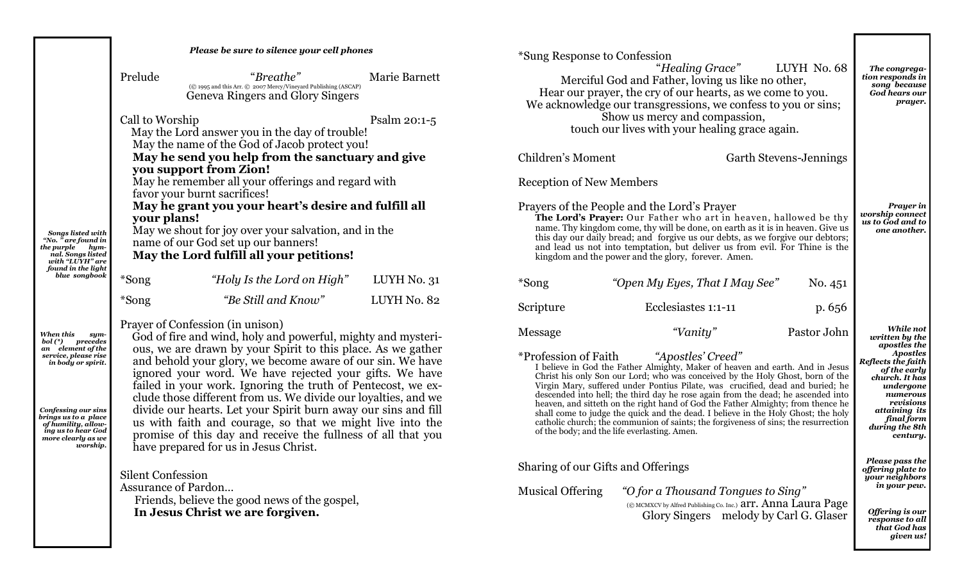|                                                                                                                                                                                                                                              | Please be sure to silence your cell phones                                                                                                                                                                                                                                                                                                                                                                                                                                                                                                                                                                                                                          |                                                                                                                                                                                                                                                                                                                                                                                                                                                                        |               |
|----------------------------------------------------------------------------------------------------------------------------------------------------------------------------------------------------------------------------------------------|---------------------------------------------------------------------------------------------------------------------------------------------------------------------------------------------------------------------------------------------------------------------------------------------------------------------------------------------------------------------------------------------------------------------------------------------------------------------------------------------------------------------------------------------------------------------------------------------------------------------------------------------------------------------|------------------------------------------------------------------------------------------------------------------------------------------------------------------------------------------------------------------------------------------------------------------------------------------------------------------------------------------------------------------------------------------------------------------------------------------------------------------------|---------------|
|                                                                                                                                                                                                                                              | Prelude                                                                                                                                                                                                                                                                                                                                                                                                                                                                                                                                                                                                                                                             | "Breathe"<br>(C) 1995 and this Arr. C 2007 Mercy/Vineyard Publishing (ASCAP)<br>Geneva Ringers and Glory Singers                                                                                                                                                                                                                                                                                                                                                       | Marie Barnett |
| Songs listed with<br>"No. " are found in<br>the purple<br>hym-<br>nal. Songs listed<br>with "LUYH" are                                                                                                                                       | Call to Worship<br>your plans!                                                                                                                                                                                                                                                                                                                                                                                                                                                                                                                                                                                                                                      | May the Lord answer you in the day of trouble!<br>May the name of the God of Jacob protect you!<br>May he send you help from the sanctuary and give<br>you support from Zion!<br>May he remember all your offerings and regard with<br>favor your burnt sacrifices!<br>May he grant you your heart's desire and fulfill all<br>May we shout for joy over your salvation, and in the<br>name of our God set up our banners!<br>May the Lord fulfill all your petitions! | Psalm 20:1-5  |
| found in the light<br>blue songbook                                                                                                                                                                                                          | *Song                                                                                                                                                                                                                                                                                                                                                                                                                                                                                                                                                                                                                                                               | "Holy Is the Lord on High"                                                                                                                                                                                                                                                                                                                                                                                                                                             | LUYH No. 31   |
|                                                                                                                                                                                                                                              | *Song                                                                                                                                                                                                                                                                                                                                                                                                                                                                                                                                                                                                                                                               | "Be Still and Know"                                                                                                                                                                                                                                                                                                                                                                                                                                                    | LUYH No. 82   |
| When this<br>sym-<br>bol $(*)$<br>precedes<br>an element of the<br>service, please rise<br>in body or spirit.<br>Confessing our sins<br>brings us to a  place<br>of humility, allow-<br>ing us to hear God<br>more clearly as we<br>worship. | Prayer of Confession (in unison)<br>God of fire and wind, holy and powerful, mighty and mysteri-<br>ous, we are drawn by your Spirit to this place. As we gather<br>and behold your glory, we become aware of our sin. We have<br>ignored your word. We have rejected your gifts. We have<br>failed in your work. Ignoring the truth of Pentecost, we ex-<br>clude those different from us. We divide our loyalties, and we<br>divide our hearts. Let your Spirit burn away our sins and fill<br>us with faith and courage, so that we might live into the<br>promise of this day and receive the fullness of all that you<br>have prepared for us in Jesus Christ. |                                                                                                                                                                                                                                                                                                                                                                                                                                                                        |               |
|                                                                                                                                                                                                                                              | <b>Silent Confession</b><br><b>Assurance of Pardon</b><br>Friends, believe the good news of the gospel,<br>In Jesus Christ we are forgiven.                                                                                                                                                                                                                                                                                                                                                                                                                                                                                                                         |                                                                                                                                                                                                                                                                                                                                                                                                                                                                        |               |

| *Sung Response to Confession                                                                                                                                                                                                                                                                                                                                                                                                                                                                                                                                                                                                                                                                              | "Healing Grace"<br>Merciful God and Father, loving us like no other,<br>Hear our prayer, the cry of our hearts, as we come to you.<br>We acknowledge our transgressions, we confess to you or sins;<br>Show us mercy and compassion,<br>touch our lives with your healing grace again. |                                                                  | LUYH No. 68                                                                                                                                                                | The congrega-<br>tion responds in<br>song because<br><b>God hears our</b><br>prayer. |
|-----------------------------------------------------------------------------------------------------------------------------------------------------------------------------------------------------------------------------------------------------------------------------------------------------------------------------------------------------------------------------------------------------------------------------------------------------------------------------------------------------------------------------------------------------------------------------------------------------------------------------------------------------------------------------------------------------------|----------------------------------------------------------------------------------------------------------------------------------------------------------------------------------------------------------------------------------------------------------------------------------------|------------------------------------------------------------------|----------------------------------------------------------------------------------------------------------------------------------------------------------------------------|--------------------------------------------------------------------------------------|
| Children's Moment                                                                                                                                                                                                                                                                                                                                                                                                                                                                                                                                                                                                                                                                                         |                                                                                                                                                                                                                                                                                        | <b>Garth Stevens-Jennings</b>                                    |                                                                                                                                                                            |                                                                                      |
| <b>Reception of New Members</b>                                                                                                                                                                                                                                                                                                                                                                                                                                                                                                                                                                                                                                                                           |                                                                                                                                                                                                                                                                                        |                                                                  |                                                                                                                                                                            |                                                                                      |
| Prayers of the People and the Lord's Prayer<br>The Lord's Prayer: Our Father who art in heaven, hallowed be thy<br>name. Thy kingdom come, thy will be done, on earth as it is in heaven. Give us<br>this day our daily bread; and forgive us our debts, as we forgive our debtors;<br>and lead us not into temptation, but deliver us from evil. For Thine is the<br>kingdom and the power and the glory, forever. Amen.                                                                                                                                                                                                                                                                                 |                                                                                                                                                                                                                                                                                        | Prayer in<br>worship connect<br>us to God and to<br>one another. |                                                                                                                                                                            |                                                                                      |
| *Song                                                                                                                                                                                                                                                                                                                                                                                                                                                                                                                                                                                                                                                                                                     | "Open My Eyes, That I May See"                                                                                                                                                                                                                                                         |                                                                  | No. 451                                                                                                                                                                    |                                                                                      |
| Scripture                                                                                                                                                                                                                                                                                                                                                                                                                                                                                                                                                                                                                                                                                                 | Ecclesiastes 1:1-11                                                                                                                                                                                                                                                                    |                                                                  | p. 656                                                                                                                                                                     |                                                                                      |
| Message                                                                                                                                                                                                                                                                                                                                                                                                                                                                                                                                                                                                                                                                                                   | "Vanity"                                                                                                                                                                                                                                                                               |                                                                  | Pastor John                                                                                                                                                                | While not<br>written by the<br>apostles the                                          |
| "Apostles' Creed"<br><i>*Profession of Faith</i><br>I believe in God the Father Almighty, Maker of heaven and earth. And in Jesus<br>Christ his only Son our Lord; who was conceived by the Holy Ghost, born of the<br>Virgin Mary, suffered under Pontius Pilate, was crucified, dead and buried; he<br>descended into hell; the third day he rose again from the dead; he ascended into<br>heaven, and sitteth on the right hand of God the Father Almighty; from thence he<br>shall come to judge the quick and the dead. I believe in the Holy Ghost; the holy<br>catholic church; the communion of saints; the forgiveness of sins; the resurrection<br>of the body; and the life everlasting. Amen. |                                                                                                                                                                                                                                                                                        |                                                                  | <b>Apostles</b><br>Reflects the faith<br>of the early<br>church. It has<br>undergone<br>numerous<br>revisions<br>attaining its<br>final form<br>during the 8th<br>century. |                                                                                      |
| Sharing of our Gifts and Offerings                                                                                                                                                                                                                                                                                                                                                                                                                                                                                                                                                                                                                                                                        |                                                                                                                                                                                                                                                                                        |                                                                  |                                                                                                                                                                            | Please pass the<br>offering plate to<br>your neighbors                               |
| <b>Musical Offering</b>                                                                                                                                                                                                                                                                                                                                                                                                                                                                                                                                                                                                                                                                                   | "O for a Thousand Tongues to Sing"<br>(© MCMXCV by Alfred Publishing Co. Inc.) arr. Anna Laura Page<br>Glory Singers melody by Carl G. Glaser                                                                                                                                          |                                                                  |                                                                                                                                                                            | in your pew.<br>Offering is our<br>response to all<br>that God has<br>given us!      |

г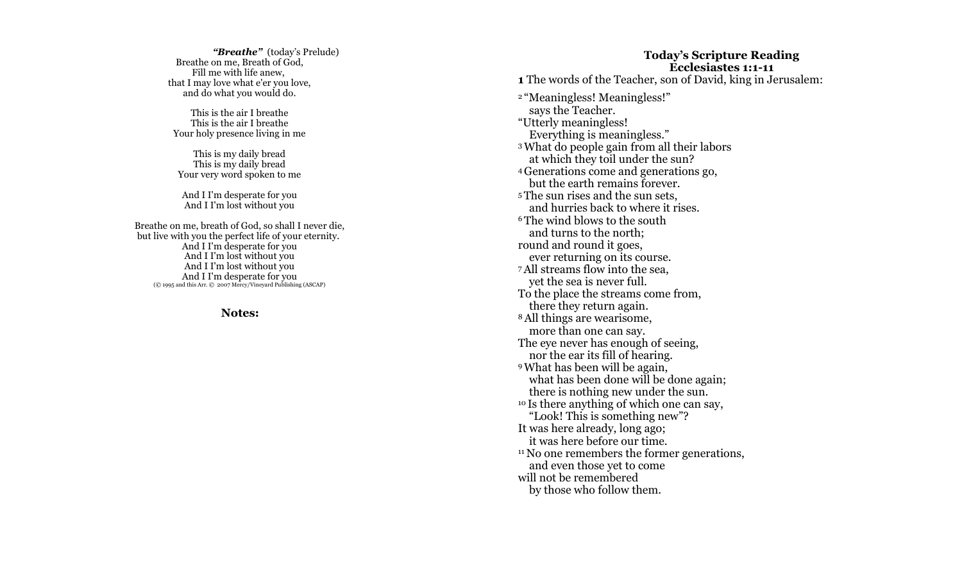*"Breathe"* (today 's Prelude) Breathe on me, Breath of God, Fill me with life anew, that I may love what e'er you love, and do what you would do.

This is the air I breathe This is the air I breathe Your holy presence living in me

This is my daily bread This is my daily bread Your very word spoken to me

And I I'm desperate for you And I I'm lost without you

Breathe on me, breath of God, so shall I never die, but live with you the perfect life of your eternity. And I I'm desperate for you And I I'm lost without you And I I'm lost without you And I I'm desperate for you (© 1995 and this Arr. © 2007 Mercy/Vineyard Publishing (ASCAP)

**Notes:**

**Today 's Scripture Reading Ecclesiastes 1:1 -11 1** The words of the Teacher, son of David, king in Jerusalem: <sup>2</sup> "Meaningless! Meaningless!" says the Teacher. "Utterly meaningless! Everything is meaningless. " <sup>3</sup>What do people gain from all their labors at which they toil under the sun? <sup>4</sup> Generations come and generations go, but the earth remains forever. <sup>5</sup> The sun rises and the sun sets, and hurries back to where it rises. <sup>6</sup>The wind blows to the south and turns to the north; round and round it goes, ever returning on its course. <sup>7</sup>All streams flow into the sea, yet the sea is never full. To the place the streams come from, there they return again. <sup>8</sup>All things are wearisome, more than one can say. The eye never has enough of seeing, nor the ear its fill of hearing. <sup>9</sup>What has been will be again, what has been done will be done again; there is nothing new under the sun. <sup>10</sup> Is there anything of which one can say, "Look! This is something new"? It was here already, long ago; it was here before our time. <sup>11</sup> No one remembers the former generations, and even those yet to come will not be remembered by those who follow them.